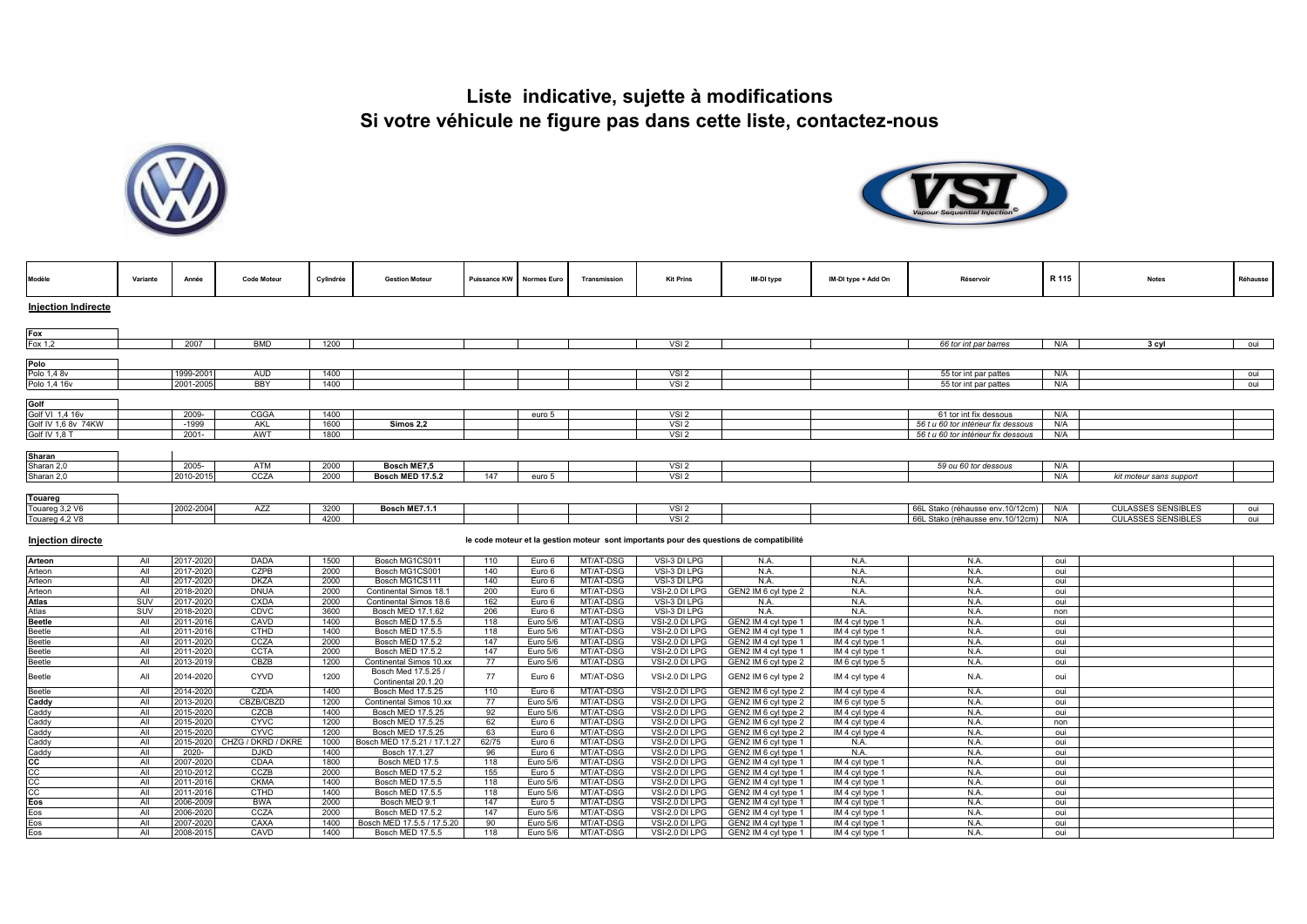



| Modèle                   | Variante   | Année                  | <b>Code Moteur</b>         | Cylindrée    | <b>Gestion Moteur</b>                            | <b>Puissance KW</b> | <b>Normes Euro</b> | Transmission           | <b>Kit Prins</b>                     | IM-DI type                                                                              | IM-DI type + Add On | Réservoir                           | R 115      | <b>Notes</b>              | Réhausse |
|--------------------------|------------|------------------------|----------------------------|--------------|--------------------------------------------------|---------------------|--------------------|------------------------|--------------------------------------|-----------------------------------------------------------------------------------------|---------------------|-------------------------------------|------------|---------------------------|----------|
| Injection Indirecte      |            |                        |                            |              |                                                  |                     |                    |                        |                                      |                                                                                         |                     |                                     |            |                           |          |
| Fox                      |            |                        |                            |              |                                                  |                     |                    |                        |                                      |                                                                                         |                     |                                     |            |                           |          |
| Fox 1,2                  |            | 2007                   | <b>BMD</b>                 | 1200         |                                                  |                     |                    |                        | VSI <sub>2</sub>                     |                                                                                         |                     | 66 tor int par barres               | N/A        | 3 cyl                     | oui      |
| Polo                     |            |                        |                            |              |                                                  |                     |                    |                        |                                      |                                                                                         |                     |                                     |            |                           |          |
| Polo 1,4 8v              |            | 1999-2001              | <b>AUD</b>                 | 1400         |                                                  |                     |                    |                        | VSI2                                 |                                                                                         |                     | 55 tor int par pattes               | N/A        |                           | oui      |
| Polo 1,4 16v             |            | 2001-2005              | <b>BBY</b>                 | 1400         |                                                  |                     |                    |                        | VSI <sub>2</sub>                     |                                                                                         |                     | 55 tor int par pattes               | N/A        |                           | oui      |
|                          |            |                        |                            |              |                                                  |                     |                    |                        |                                      |                                                                                         |                     |                                     |            |                           |          |
| Golf                     |            |                        |                            |              |                                                  |                     |                    |                        |                                      |                                                                                         |                     |                                     |            |                           |          |
| Golf VI 1,4 16v          |            | 2009-                  | CGGA                       | 1400         |                                                  |                     | euro 5             |                        | VSI <sub>2</sub>                     |                                                                                         |                     | 61 tor int fix dessous              | N/A        |                           |          |
| Golf IV 1.6 8v 74KW      |            | $-1999$                | AKL                        | 1600         | <b>Simos 2.2</b>                                 |                     |                    |                        | $VSI$ <sub>2</sub>                   |                                                                                         |                     | 56 t u 60 tor intérieur fix dessous | N/A        |                           |          |
| Golf IV 1,8 T            |            | $2001 -$               | AWT                        | 1800         |                                                  |                     |                    |                        | VSI2                                 |                                                                                         |                     | 56 t u 60 tor intérieur fix dessous | N/A        |                           |          |
|                          |            |                        |                            |              |                                                  |                     |                    |                        |                                      |                                                                                         |                     |                                     |            |                           |          |
| Sharan                   |            |                        |                            |              |                                                  |                     |                    |                        |                                      |                                                                                         |                     |                                     |            |                           |          |
| Sharan 2,0<br>Sharan 2,0 |            | 2005-<br>2010-201      | ATM<br>CCZA                | 2000<br>2000 | Bosch ME7,5<br><b>Bosch MED 17.5.2</b>           | 147                 | euro 5             |                        | VSI <sub>2</sub><br>VSI <sub>2</sub> |                                                                                         |                     | 59 ou 60 tor dessous                | N/A<br>N/A |                           |          |
|                          |            |                        |                            |              |                                                  |                     |                    |                        |                                      |                                                                                         |                     |                                     |            | kit moteur sans support   |          |
| Touareg                  |            |                        |                            |              |                                                  |                     |                    |                        |                                      |                                                                                         |                     |                                     |            |                           |          |
| Touareg 3,2 V6           |            | 2002-2004              | AZZ                        | 3200         | Bosch ME7.1.1                                    |                     |                    |                        | VSI <sub>2</sub>                     |                                                                                         |                     | 66L Stako (réhausse env.10/12cm)    | N/A        | <b>CULASSES SENSIBLES</b> | oui      |
| Touareg 4,2 V8           |            |                        |                            | 4200         |                                                  |                     |                    |                        | VSI2                                 |                                                                                         |                     | 66L Stako (réhausse env.10/12cm)    | N/A        | <b>CULASSES SENSIBLES</b> | oui      |
|                          |            |                        |                            |              |                                                  |                     |                    |                        |                                      |                                                                                         |                     |                                     |            |                           |          |
| <b>Injection directe</b> |            |                        |                            |              |                                                  |                     |                    |                        |                                      | le code moteur et la gestion moteur sont importants pour des questions de compatibilité |                     |                                     |            |                           |          |
| Arteon                   | All        | 2017-2020              | <b>DADA</b>                | 1500         | Bosch MG1CS011                                   | 110                 | Euro 6             | MT/AT-DSG              | VSI-3 DI LPG                         | N.A.                                                                                    | N.A.                | N.A.                                | oui        |                           |          |
| Arteon                   | All        | 2017-2020              | <b>CZPB</b>                | 2000         | Bosch MG1CS001                                   | 140                 | Euro 6             | MT/AT-DSG              | VSI-3 DI LPG                         | N.A.                                                                                    | N.A.                | N.A.                                | oui        |                           |          |
| Arteon                   | All        | 2017-2020              | <b>DKZA</b>                | 2000         | Bosch MG1CS111                                   | 140                 | Euro 6             | MT/AT-DSG              | VSI-3 DI LPG                         | N.A.                                                                                    | N.A.                | N.A.                                | oui        |                           |          |
| Arteon<br><b>Atlas</b>   | All<br>SUV | 2018-2020<br>2017-2020 | DNUA<br><b>CXDA</b>        | 2000<br>2000 | Continental Simos 18.1<br>Continental Simos 18.6 | 200<br>162          | Euro 6<br>Euro 6   | MT/AT-DSG<br>MT/AT-DSG | VSI-2.0 DI LPG<br>VSI-3 DI LPG       | GEN2 IM 6 cyl type 2<br>N.A.                                                            | N.A.<br>N.A.        | N.A.<br>N.A.                        | oui<br>oui |                           |          |
| Atlas                    | SUV        | 2018-2020              | <b>CDVC</b>                | 3600         | Bosch MED 17.1.62                                | 206                 | Euro 6             | MT/AT-DSG              | VSI-3 DI LPG                         | N.A.                                                                                    | N.A.                | N.A.                                | non        |                           |          |
| <b>Beetle</b>            | All        | 2011-2016              | CAVD                       | 1400         | Bosch MED 17.5.5                                 | 118                 | Euro 5/6           | MT/AT-DSG              | VSI-2.0 DI LPG                       | GEN2 IM 4 cyl type 1                                                                    | IM 4 cyl type 1     | N.A.                                | oui        |                           |          |
| Beetle                   | All        | 2011-2016              | <b>CTHD</b>                | 1400         | Bosch MED 17.5.5                                 | 118                 | Euro 5/6           | MT/AT-DSG              | VSI-2.0 DI LPG                       | GEN2 IM 4 cyl type 1                                                                    | IM 4 cyl type 1     | N.A.                                | oui        |                           |          |
| Beetle                   | All        | 2011-2020              | CCZA                       | 2000         | Bosch MED 17.5.2                                 | 147                 | Euro 5/6           | MT/AT-DSG              | VSI-2.0 DI LPG                       | GEN2 IM 4 cyl type 1                                                                    | IM 4 cyl type 1     | N.A.                                | oui        |                           |          |
| Beetle                   | All        | 2011-202               | CCTA                       | 2000         | Bosch MED 17.5.2                                 | 147                 | Euro 5/6           | MT/AT-DSG              | VSI-2.0 DI LPG                       | GEN2 IM 4 cyl type 1                                                                    | IM 4 cyl type 1     | N.A.                                | oui        |                           |          |
| <b>Beetle</b>            | All        | 2013-201               | CBZB                       | 1200         | Continental Simos 10.xx                          | 77                  | Euro 5/6           | MT/AT-DSG              | VSI-2.0 DI LPG                       | GEN2 IM 6 cyl type 2                                                                    | IM 6 cyl type 5     | N.A.                                | oui        |                           |          |
| <b>Beetle</b>            | All        | 2014-2020              | CYVD                       | 1200         | Bosch Med 17.5.25 /<br>Continental 20.1.20       | 77                  | Euro 6             | MT/AT-DSG              | VSI-2.0 DI LPG                       | GEN2 IM 6 cyl type 2                                                                    | IM 4 cyl type 4     | N.A.                                | oui        |                           |          |
| <b>Beetle</b>            | All        | 2014-2020              | CZDA                       | 1400         | Bosch Med 17.5.25                                | 110                 | Euro 6             | MT/AT-DSG              | VSI-2.0 DI LPG                       | GEN2 IM 6 cyl type 2                                                                    | IM 4 cyl type 4     | N.A.                                | oui        |                           |          |
| Caddy                    | All        | 2013-202               | CBZB/CBZD                  | 1200         | Continental Simos 10.xx                          | 77                  | Euro 5/6           | MT/AT-DSG              | VSI-2.0 DI LPG                       | GEN2 IM 6 cyl type 2                                                                    | IM 6 cyl type 5     | N.A.                                | oui        |                           |          |
| Caddy                    | All        | 2015-202               | <b>CZCB</b>                | 1400         | Bosch MED 17.5.25                                | 92                  | Euro 5/6           | MT/AT-DSG              | VSI-2.0 DI LPG                       | GEN2 IM 6 cyl type 2                                                                    | IM 4 cyl type 4     | N.A.                                | oui        |                           |          |
| Caddy                    | All        | 2015-2020              | CYVC                       | 1200         | Bosch MED 17.5.25                                | 62                  | Euro 6             | MT/AT-DSG              | VSI-2.0 DI LPG                       | GEN2 IM 6 cyl type 2                                                                    | IM 4 cyl type 4     | N.A.                                | non        |                           |          |
| Caddy<br>Caddy           | All<br>All | 2015-2020<br>2015-2020 | CYVC<br>CHZG / DKRD / DKRE | 1200<br>1000 | Bosch MED 17.5.25<br>Bosch MED 17.5.21 / 17.1.27 | 63<br>62/75         | Euro 6             | MT/AT-DSG<br>MT/AT-DSG | VSI-2.0 DI LPG<br>VSI-2.0 DI LPG     | GEN2 IM 6 cyl type 2                                                                    | IM 4 cyl type 4     | N.A.<br>N.A.                        | oui<br>oui |                           |          |
| Caddy                    | All        | 2020-                  | <b>DJKD</b>                | 1400         | Bosch 17.1.27                                    | 96                  | Euro 6<br>Euro 6   | MT/AT-DSG              | VSI-2.0 DI LPG                       | GEN2 IM 6 cyl type 1<br>GEN2 IM 6 cyl type 1                                            | N.A.<br>N.A.        | N.A.                                | oui        |                           |          |
|                          | All        | 2007-2020              | CDAA                       | 1800         | Bosch MED 17.5                                   | 118                 | Euro 5/6           | MT/AT-DSG              | VSI-2.0 DI LPG                       | GEN2 IM 4 cyl type 1                                                                    | IM 4 cyl type 1     | N.A.                                | oui        |                           |          |
| $\frac{1}{30}$           | All        | 2010-2012              | CCZB                       | 2000         | <b>Bosch MED 17.5.2</b>                          | 155                 | Euro 5             | MT/AT-DSG              | VSI-2.0 DI LPG                       | GEN2 IM 4 cyl type 1                                                                    | IM 4 cyl type 1     | N.A.                                | oui        |                           |          |
|                          | All        | 2011-2016              | <b>CKMA</b>                | 1400         | <b>Bosch MED 17.5.5</b>                          | 118                 | Euro 5/6           | MT/AT-DSG              | VSI-2.0 DI LPG                       | GEN2 IM 4 cyl type 1                                                                    | IM 4 cyl type 1     | N.A.                                | oui        |                           |          |
| cc                       | All        | 2011-2016              | <b>CTHD</b>                | 1400         | Bosch MED 17.5.5                                 | 118                 | Euro 5/6           | MT/AT-DSG              | VSI-2.0 DI LPG                       | GEN2 IM 4 cyl type 1                                                                    | IM 4 cyl type 1     | N.A.                                | oui        |                           |          |
| Eos                      | All        | 2006-2009              | <b>BWA</b>                 | 2000         | Bosch MED 9.1                                    | 147                 | Euro 5             | MT/AT-DSG              | VSI-2.0 DI LPG                       | GEN2 IM 4 cyl type 1                                                                    | IM 4 cyl type 1     | N.A.                                | oui        |                           |          |
| Eos                      | All        | 006-202                | CCZA                       | 2000         | Bosch MED 17.5.2                                 | 147                 | Euro 5/6           | MT/AT-DSG              | VSI-2.0 DI LPG                       | GEN2 IM 4 cyl type 1                                                                    | IM 4 cyl type :     | N.A.                                | oui        |                           |          |
| Eos                      | All        | 2007-2020              | CAXA                       | 1400         | Bosch MED 17.5.5 / 17.5.20                       | 90                  | Euro 5/6           | MT/AT-DSG              | VSI-2.0 DI LPG                       | GEN2 IM 4 cyl type 1                                                                    | IM 4 cyl type 1     | N.A.                                | oui        |                           |          |
| Eos                      | All        | 2008-2015              | CAVD                       | 1400         | Bosch MED 17.5.5                                 | 118                 | Euro 5/6           | MT/AT-DSG              | VSI-2.0 DI LPG                       | GEN2 IM 4 cyl type 1                                                                    | IM 4 cyl type 1     | N.A.                                | oui        |                           |          |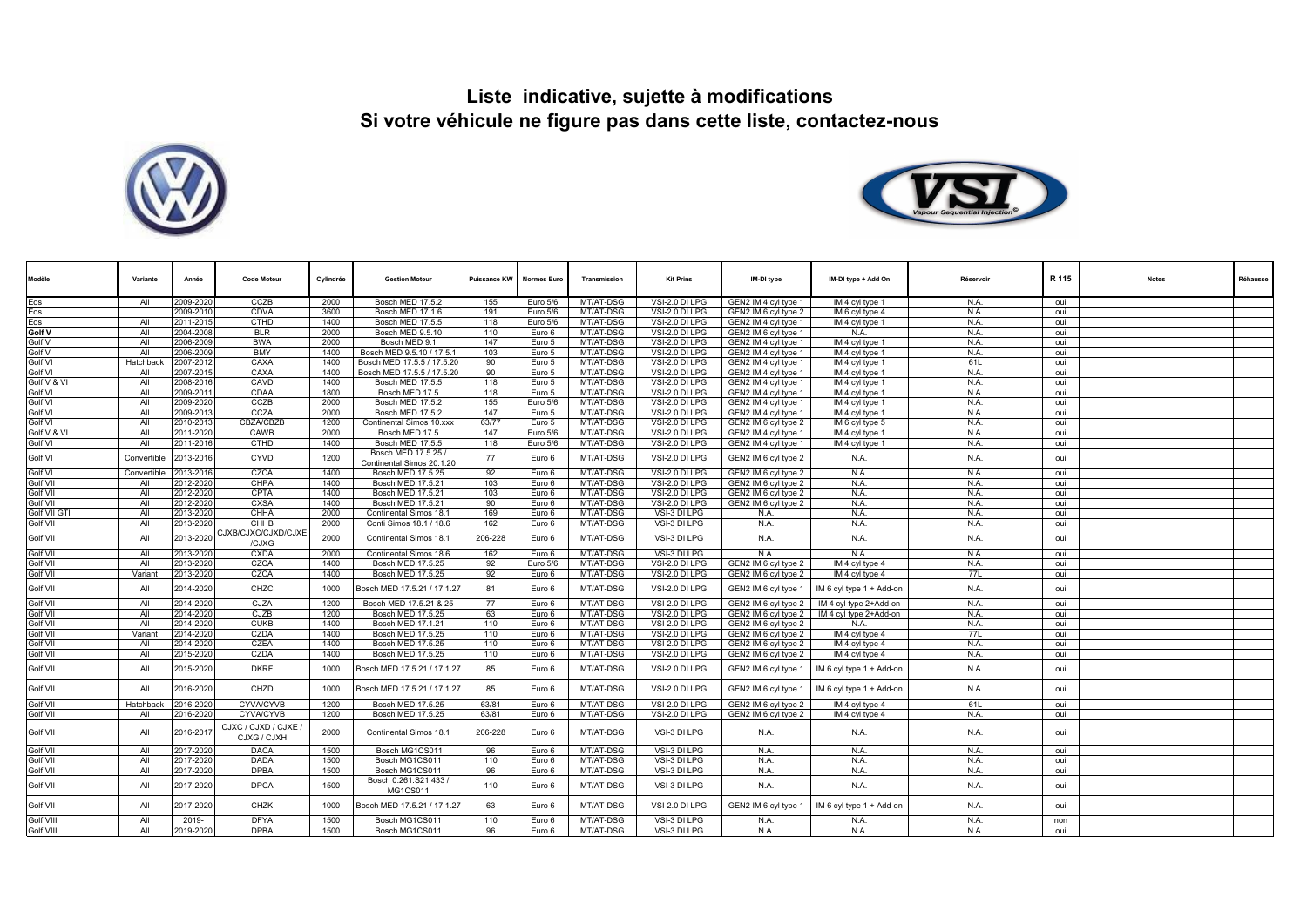



| Modèle           | Variante         | Année     | <b>Code Moteur</b>                  | Cylindrée | <b>Gestion Moteur</b>                            | Puissance KW | <b>Normes Euro</b> | Transmission | <b>Kit Prins</b> | IM-DI type           | IM-DI type + Add On      | Réservoir | R 115 | <b>Notes</b> | Réhausse |
|------------------|------------------|-----------|-------------------------------------|-----------|--------------------------------------------------|--------------|--------------------|--------------|------------------|----------------------|--------------------------|-----------|-------|--------------|----------|
| Eos              | All              | 2009-2020 | CCZB                                | 2000      | <b>Bosch MED 17.5.2</b>                          | 155          | Euro 5/6           | MT/AT-DSG    | VSI-2.0 DI LPG   | GEN2 IM 4 cyl type 1 | IM 4 cyl type 1          | N.A.      | oui   |              |          |
|                  |                  | 2009-2010 | CDVA                                | 3600      | Bosch MED 17.1.6                                 | 191          | Euro 5/6           | MT/AT-DSG    | VSI-2.0 DI LPG   | GEN2 IM 6 cyl type 2 | IM 6 cyl type 4          | N.A.      | oui   |              |          |
| Eos<br>Eos       | All              | 2011-2015 | <b>CTHD</b>                         | 1400      | Bosch MED 17.5.5                                 | 118          | Euro 5/6           | MT/AT-DSG    | VSI-2.0 DI LPG   | GEN2 IM 4 cyl type 1 | IM 4 cyl type 1          | N.A.      | oui   |              |          |
| <b>Golf V</b>    | All              | 2004-2008 | <b>BLR</b>                          | 2000      | Bosch MED 9.5.10                                 | 110          | Euro 6             | MT/AT-DSG    | VSI-2.0 DI LPG   | GEN2 IM 6 cyl type 1 | N.A.                     | N.A.      | oui   |              |          |
| Golf V           | All              | 2006-2009 | <b>BWA</b>                          | 2000      | Bosch MED 9.                                     | 147          | Euro 5             | MT/AT-DSG    | VSI-2.0 DI LPG   | GEN2 IM 4 cyl type 1 | IM 4 cyl type 1          | N.A.      | oui   |              |          |
| Golf V           | All              | 2006-2009 | <b>BMY</b>                          | 1400      | Bosch MED 9.5.10 / 17.5.1                        | 103          | Euro 5             | MT/AT-DSG    | VSI-2.0 DI LPG   | GEN2 IM 4 cyl type 1 | IM 4 cyl type 1          | N.A.      | oui   |              |          |
| Golf VI          | Hatchback        | 2007-2012 | CAXA                                | 1400      | Bosch MED 17.5.5 / 17.5.20                       | 90           | Euro 5             | MT/AT-DSG    | VSI-2.0 DI LPG   | GEN2 IM 4 cyl type 1 | IM 4 cyl type 1          | 61L       | oui   |              |          |
| Golf VI          | All              | 2007-2015 | CAXA                                | 1400      | Bosch MED 17.5.5 / 17.5.20                       | 90           | Euro 5             | MT/AT-DSG    | VSI-2.0 DI LPG   | GEN2 IM 4 cyl type 1 | IM 4 cyl type 1          | N.A.      | oui   |              |          |
| Golf V & V       | All              | 2008-2016 | CAVD                                | 1400      | Bosch MED 17.5.5                                 | 118          | Euro 5             | MT/AT-DSG    | VSI-2.0 DI LPG   | GEN2 IM 4 cyl type 1 | IM 4 cyl type 1          | N.A.      | oui   |              |          |
| Golf VI          | All              | 2009-2011 | CDAA                                | 1800      | Bosch MED 17.5                                   | 118          | Euro 5             | MT/AT-DSG    | VSI-2.0 DI LPG   | GEN2 IM 4 cyl type 1 | IM 4 cyl type 1          | N.A.      | oui   |              |          |
| Golf VI          | All              | 2009-2020 | CCZB                                | 2000      | Bosch MED 17.5.2                                 | 155          | Euro 5/6           | MT/AT-DSG    | VSI-2.0 DI LPG   | GEN2 IM 4 cyl type 1 | IM 4 cyl type 1          | N.A.      | oui   |              |          |
| Golf VI          | All              | 2009-2013 | CCZA                                | 2000      | Bosch MED 17.5.2                                 | 147          | Euro 5             | MT/AT-DSG    | VSI-2.0 DI LPG   | GEN2 IM 4 cyl type 1 | IM 4 cyl type 1          | N.A.      | oui   |              |          |
| Golf VI          | All              | 2010-2013 | <b>CBZA/CBZB</b>                    | 1200      | Continental Simos 10.xxx                         | 63/77        | Euro 5             | MT/AT-DSG    | VSI-2.0 DI LPG   | GEN2 IM 6 cyl type 2 | IM 6 cyl type 5          | N.A.      | oui   |              |          |
| Golf V & VI      | All              | 2011-2020 | CAWB                                | 2000      | Bosch MED 17.5                                   | 147          | Euro 5/6           | MT/AT-DSG    | VSI-2.0 DI LPG   | GEN2 IM 4 cyl type 1 | IM 4 cyl type 1          | N.A.      | oui   |              |          |
| Golf VI          | All              | 2011-2016 | <b>CTHD</b>                         | 1400      | Bosch MED 17.5.5                                 | 118          | Euro 5/6           | MT/AT-DSG    | VSI-2.0 DI LPG   | GEN2 IM 4 cyl type 1 | IM 4 cyl type 1          | N.A.      | oui   |              |          |
| Golf VI          | Convertible      | 2013-2016 | CYVD                                | 1200      | Bosch MED 17.5.25 /<br>Continental Simos 20.1.20 | 77           | Euro 6             | MT/AT-DSG    | VSI-2.0 DI LPG   | GEN2 IM 6 cyl type 2 | N.A.                     | N.A.      | oui   |              |          |
| Golf VI          | Convertible      | 2013-2016 | CZCA                                | 1400      | Bosch MED 17.5.25                                | 92           | Euro 6             | MT/AT-DSG    | VSI-2.0 DI LPG   | GEN2 IM 6 cvl type 2 | N.A                      | N.A.      | oui   |              |          |
| Golf VII         | All              | 2012-2020 | CHPA                                | 1400      | Bosch MED 17.5.21                                | 103          | Euro 6             | MT/AT-DSG    | VSI-2.0 DI LPG   | GEN2 IM 6 cvl type 2 | N.A.                     | N.A.      | oui   |              |          |
| Golf VII         | All              | 2012-2020 | <b>CPTA</b>                         | 1400      | Bosch MED 17.5.21                                | 103          | Euro 6             | MT/AT-DSG    | VSI-2.0 DI LPG   | GEN2 IM 6 cyl type 2 | N.A.                     | N.A.      | oui   |              |          |
| Golf VII         | All              | 2012-2020 | <b>CXSA</b>                         | 1400      | Bosch MED 17.5.21                                | 90           | Euro 6             | MT/AT-DSG    | VSI-2.0 DI LPG   | GEN2 IM 6 cyl type 2 | N.A.                     | N.A.      | oui   |              |          |
| Golf VII GT      | All              | 2013-2020 | CHHA                                | 2000      | Continental Simos 18.1                           | 169          | Euro 6             | MT/AT-DSG    | VSI-3 DI LPG     | N.A.                 | N.A.                     | N.A.      | oui   |              |          |
| Golf VII         | All              | 2013-2020 | CHHB                                | 2000      | Conti Simos 18.1 / 18.6                          | 162          | Euro 6             | MT/AT-DSG    | VSI-3 DI LPG     | N.A.                 | N.A.                     | N.A.      | oui   |              |          |
| Golf VII         | All              | 2013-2020 | CJXB/CJXC/CJXD/CJXE<br>/CJXG        | 2000      | Continental Simos 18.1                           | 206-228      | Euro 6             | MT/AT-DSG    | VSI-3 DI LPG     | N.A.                 | N.A.                     | N.A.      | oui   |              |          |
| Golf VII         | All              | 2013-2020 | <b>CXDA</b>                         | 2000      | Continental Simos 18.6                           | 162          | Euro 6             | MT/AT-DSG    | VSI-3 DI LPG     | N.A.                 | N.A.                     | N.A.      | oui   |              |          |
| <b>Golf VII</b>  | All              | 2013-2020 | CZCA                                | 1400      | Bosch MED 17.5.25                                | 92           | Euro 5/6           | MT/AT-DSG    | VSI-2.0 DI LPG   | GEN2 IM 6 cyl type 2 | IM 4 cyl type 4          | N.A.      | oui   |              |          |
| Golf VII         | Variant          | 2013-2020 | CZCA                                | 1400      | Bosch MED 17.5.25                                | 92           | Euro 6             | MT/AT-DSG    | VSI-2.0 DI LPG   | GEN2 IM 6 cyl type 2 | IM 4 cyl type 4          | 77L       | oui   |              |          |
| Golf VII         | All              | 2014-2020 | CHZC                                | 1000      | Bosch MED 17.5.21 / 17.1.27                      | 81           | Euro 6             | MT/AT-DSG    | VSI-2.0 DI LPG   | GEN2 IM 6 cyl type 1 | IM 6 cyl type 1 + Add-on | N.A.      | oui   |              |          |
| <b>Golf VII</b>  | All              | 2014-2020 | CJZA                                | 1200      | Bosch MED 17.5.21 & 25                           | 77           | Euro 6             | MT/AT-DSG    | VSI-2.0 DI LPG   | GEN2 IM 6 cyl type 2 | IM 4 cyl type 2+Add-on   | N.A.      | oui   |              |          |
| Golf VII         | All              | 2014-2020 | CJZB                                | 1200      | Bosch MED 17.5.25                                | 63           | Euro 6             | MT/AT-DSG    | VSI-2.0 DI LPG   | GEN2 IM 6 cyl type 2 | IM 4 cyl type 2+Add-on   | N.A.      | oui   |              |          |
| Golf VII         | All              | 2014-2020 | <b>CUKB</b>                         | 1400      | Bosch MED 17.1.21                                | 110          | Euro 6             | MT/AT-DSG    | VSI-2.0 DI LPG   | GEN2 IM 6 cyl type 2 | N.A.                     | N.A.      | oui   |              |          |
| Golf VII         | Variant          | 2014-2020 | CZDA                                | 1400      | Bosch MED 17.5.25                                | 110          | Euro 6             | MT/AT-DSG    | VSI-2.0 DI LPG   | GEN2 IM 6 cyl type 2 | IM 4 cyl type 4          | 77L       | oui   |              |          |
| Golf VII         | All              | 2014-2020 | <b>CZEA</b>                         | 1400      | Bosch MED 17.5.25                                | 110          | Euro 6             | MT/AT-DSG    | VSI-2.0 DI LPG   | GEN2 IM 6 cyl type 2 | IM 4 cyl type 4          | N.A.      | oui   |              |          |
| Golf VII         | All              | 2015-2020 | CZDA                                | 1400      | Bosch MED 17.5.25                                | 110          | Euro 6             | MT/AT-DSG    | VSI-2.0 DI LPG   | GEN2 IM 6 cyl type 2 | IM 4 cyl type 4          | N.A.      | oui   |              |          |
| Golf VII         | All              | 2015-2020 | <b>DKRF</b>                         | 1000      | Bosch MED 17.5.21 / 17.1.27                      | 85           | Euro 6             | MT/AT-DSG    | VSI-2.0 DI LPG   | GEN2 IM 6 cyl type 1 | IM 6 cyl type 1 + Add-on | N.A.      | oui   |              |          |
| Golf VII         | All              | 2016-2020 | CHZD                                | 1000      | Bosch MED 17.5.21 / 17.1.27                      | 85           | Euro 6             | MT/AT-DSG    | VSI-2.0 DI LPG   | GEN2 IM 6 cyl type 1 | IM 6 cyl type 1 + Add-on | N.A.      | oui   |              |          |
| Golf VII         | <b>Hatchback</b> | 2016-2020 | <b>CYVA/CYVB</b>                    | 1200      | Bosch MED 17.5.25                                | 63/81        | Euro 6             | MT/AT-DSG    | VSI-2.0 DI LPG   | GEN2 IM 6 cyl type 2 | IM 4 cyl type 4          | 61L       | oui   |              |          |
| Golf VII         | All              | 2016-2020 | <b>CYVA/CYVB</b>                    | 1200      | Bosch MED 17.5.25                                | 63/81        | Euro 6             | MT/AT-DSG    | VSI-2.0 DI LPG   | GEN2 IM 6 cyl type 2 | IM 4 cyl type 4          | N.A.      | oui   |              |          |
| Golf VII         | All              | 2016-2017 | CJXC / CJXD / CJXE /<br>CJXG / CJXH | 2000      | Continental Simos 18.1                           | 206-228      | Euro 6             | MT/AT-DSG    | VSI-3 DI LPG     | N.A.                 | N.A.                     | N.A.      | oui   |              |          |
| Golf VII         | All              | 2017-2020 | <b>DACA</b>                         | 1500      | Bosch MG1CS011                                   | 96           | Euro 6             | MT/AT-DSG    | VSI-3 DI LPG     | N.A.                 | N.A.                     | N.A.      | oui   |              |          |
| Golf VII         | All              | 2017-2020 | <b>DADA</b>                         | 1500      | Bosch MG1CS011                                   | 110          | Euro 6             | MT/AT-DSG    | VSI-3 DI LPG     | N.A.                 | N.A.                     | N.A.      | oui   |              |          |
| Golf VII         | All              | 2017-2020 | <b>DPBA</b>                         | 1500      | Bosch MG1CS011                                   | 96           | Euro 6             | MT/AT-DSG    | VSI-3 DI LPG     | N.A.                 | N.A.                     | N.A.      | oui   |              |          |
| Golf VII         | All              | 2017-2020 | <b>DPCA</b>                         | 1500      | Bosch 0.261.S21.433 /<br>MG1CS011                | 110          | Euro 6             | MT/AT-DSG    | VSI-3 DI LPG     | N.A.                 | N.A.                     | N.A.      | oui   |              |          |
| Golf VII         | All              | 2017-2020 | CHZK                                | 1000      | Bosch MED 17.5.21 / 17.1.27                      | 63           | Euro 6             | MT/AT-DSG    | VSI-2.0 DI LPG   | GEN2 IM 6 cyl type 1 | IM 6 cyl type 1 + Add-on | N.A.      | oui   |              |          |
| Golf VIII        | All              | 2019-     | <b>DFYA</b>                         | 1500      | Bosch MG1CS011                                   | 110          | Euro 6             | MT/AT-DSG    | VSI-3 DI LPG     | N.A.                 | N.A.                     | N.A.      | non   |              |          |
| <b>Golf VIII</b> | All              | 2019-2020 | <b>DPBA</b>                         | 1500      | Bosch MG1CS011                                   | 96           | Euro 6             | MT/AT-DSG    | VSI-3 DI LPG     | N.A.                 | N.A.                     | N.A.      | oui   |              |          |
|                  |                  |           |                                     |           |                                                  |              |                    |              |                  |                      |                          |           |       |              |          |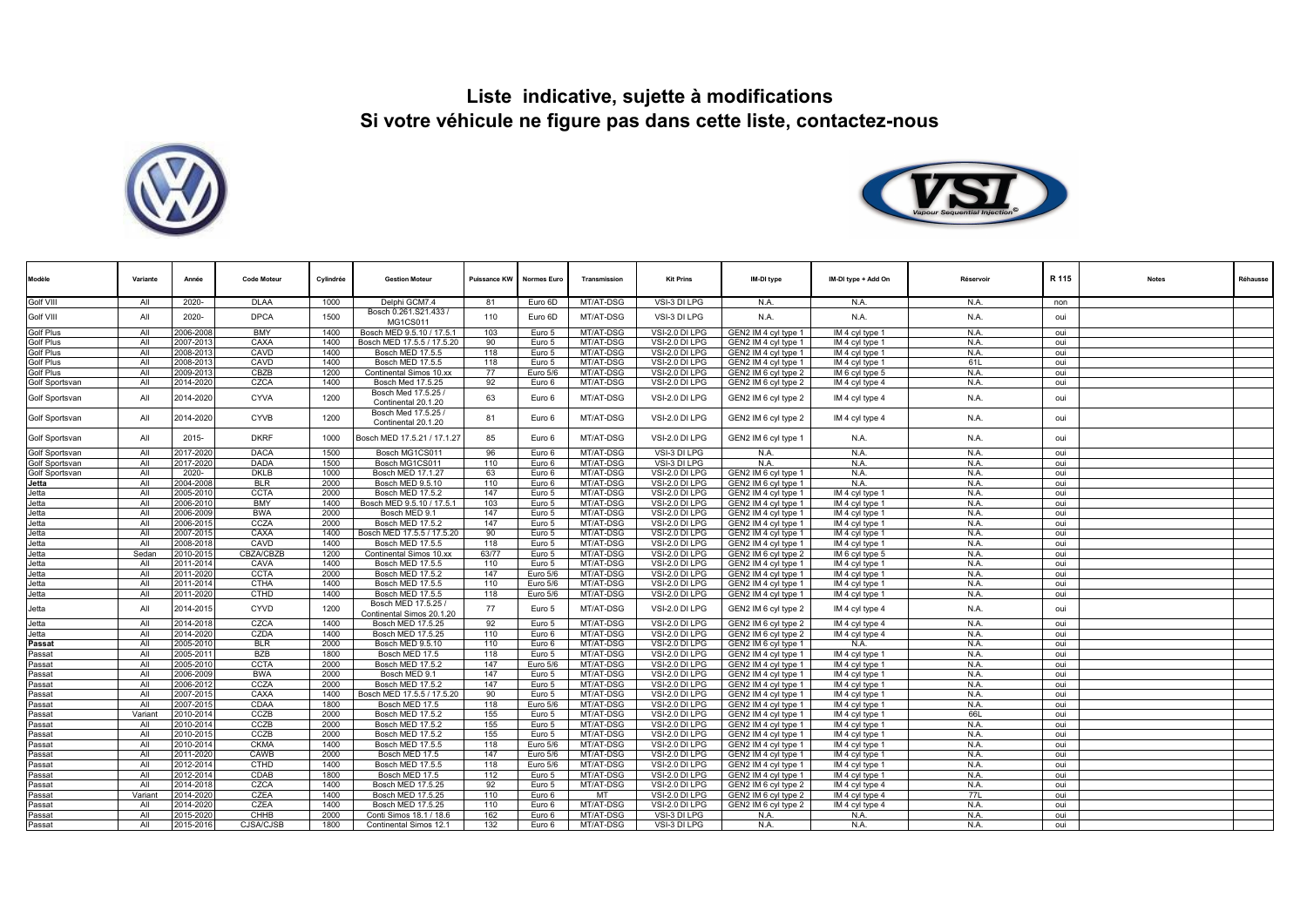



| Modèle           | Variante   | Année                 | <b>Code Moteur</b> | Cylindrée    | <b>Gestion Moteur</b>                                 | Puissance KW | <b>Normes Euro</b> | Transmission           | <b>Kit Prins</b>                 | IM-DI type                                   | IM-DI type + Add On                | Réservoir   | R 115      | <b>Notes</b> | Réhausse |
|------------------|------------|-----------------------|--------------------|--------------|-------------------------------------------------------|--------------|--------------------|------------------------|----------------------------------|----------------------------------------------|------------------------------------|-------------|------------|--------------|----------|
| Golf VIII        | All        | 2020-                 | <b>DLAA</b>        | 1000         | Delphi GCM7.4                                         | 81           | Euro 6D            | MT/AT-DSG              | VSI-3 DI LPG                     | N.A.                                         | N.A.                               | N.A.        | non        |              |          |
| Golf VIII        | All        | 2020-                 | <b>DPCA</b>        | 1500         | Bosch 0.261.S21.433 /<br>MG1CS011                     | 110          | Euro 6D            | MT/AT-DSG              | VSI-3 DI LPG                     | N.A.                                         | N.A.                               | N.A.        | oui        |              |          |
| <b>Golf Plus</b> | All        | 2006-200              | <b>BMY</b>         | 1400         | Bosch MED 9.5.10 / 17.5.1                             | 103          | Euro 5             | MT/AT-DSG              | VSI-2.0 DI LPG                   | GEN2 IM 4 cvl type 1                         | IM 4 cvl type 1                    | N.A         | oui        |              |          |
| <b>Golf Plus</b> | All        | 2007-201              | CAXA               | 1400         | Bosch MED 17.5.5 / 17.5.20                            | 90           | Euro 5             | MT/AT-DSG              | VSI-2.0 DI LPG                   | GEN2 IM 4 cyl type 1                         | IM 4 cyl type 1                    | N.A         | oui        |              |          |
| <b>Golf Plus</b> | All        | 2008-201              | CAVD               | 1400         | Bosch MED 17.5.5                                      | 118          | Euro 5             | MT/AT-DSG              | VSI-2.0 DI LPG                   | GEN2 IM 4 cyl type 1                         | IM 4 cyl type 1                    | N.A.        | oui        |              |          |
| <b>Golf Plus</b> | All        | 2008-201              | CAVD               | 1400         | Bosch MED 17.5.5                                      | 118          | Euro 5             | MT/AT-DSG              | VSI-2.0 DI LPG                   | GEN2 IM 4 cyl type 1                         | IM 4 cyl type 1                    | 61L         | oui        |              |          |
| <b>Golf Plus</b> | All        | 2009-2013             | CBZB               | 1200         | Continental Simos 10.xx                               | 77           | Euro 5/6           | MT/AT-DSG              | VSI-2.0 DI LPG                   | GEN2 IM 6 cyl type 2                         | IM 6 cyl type 5                    | N.A.        | oui        |              |          |
| Golf Sportsvan   | All        | 2014-2020             | CZCA               | 1400         | Bosch Med 17.5.25                                     | 92           | Euro 6             | MT/AT-DSG              | VSI-2.0 DI LPG                   | GEN2 IM 6 cyl type 2                         | IM 4 cyl type 4                    | N.A.        | oui        |              |          |
| Golf Sportsvan   | All        | 2014-2020             | <b>CYVA</b>        | 1200         | Bosch Med 17.5.25 /<br>Continental 20.1.20            | 63           | Euro 6             | MT/AT-DSG              | VSI-2.0 DI LPG                   | GEN2 IM 6 cyl type 2                         | IM 4 cyl type 4                    | N.A.        | oui        |              |          |
| Golf Sportsvan   | All        | 2014-2020             | <b>CYVB</b>        | 1200         | Bosch Med 17.5.25 /<br>Continental 20.1.20            | 81           | Euro 6             | MT/AT-DSG              | VSI-2.0 DI LPG                   | GEN2 IM 6 cyl type 2                         | IM 4 cyl type 4                    | N.A.        | oui        |              |          |
| Golf Sportsvan   | All        | $2015 -$              | <b>DKRF</b>        | 1000         | Bosch MED 17.5.21 / 17.1.27                           | 85           | Euro 6             | MT/AT-DSG              | VSI-2.0 DI LPG                   | GEN2 IM 6 cyl type 1                         | N.A.                               | N.A.        | oui        |              |          |
| Golf Sportsvan   | All        | 2017-2020             | <b>DACA</b>        | 1500         | Bosch MG1CS011                                        | 96           | Euro 6             | MT/AT-DSG              | VSI-3 DI LPG                     | N.A.                                         | N.A.                               | N.A.        | oui        |              |          |
| Golf Sportsvan   | All        | 2017-2020             | <b>DADA</b>        | 1500         | Bosch MG1CS011                                        | 110          | Euro 6             | MT/AT-DSG              | VSI-3 DI LPG                     | N.A.                                         | N.A.                               | N.A.        | oui        |              |          |
| Golf Sportsvan   | All        | 2020-                 | <b>DKLB</b>        | 1000         | Bosch MED 17.1.27                                     | 63           | Euro 6             | MT/AT-DSG              | VSI-2.0 DI LPG                   | GEN2 IM 6 cyl type 1                         | N.A.                               | N.A         | oui        |              |          |
| Jetta            | All        | 2004-2008             | <b>BLR</b>         | 2000         | Bosch MED 9.5.10                                      | 110          | Euro 6             | MT/AT-DSG              | VSI-2.0 DI LPG                   | GEN2 IM 6 cyl type 1                         | N.A.                               | N.A.        | oui        |              |          |
| Jetta            | All        | 2005-201              | <b>CCTA</b>        | 2000         | Bosch MED 17.5.2                                      | 147          | Euro 5             | MT/AT-DSG              | VSI-2.0 DI LPG                   | GEN2 IM 4 cyl type 1                         | IM 4 cyl type 1                    | N.A         | oui        |              |          |
| Jetta            | All        | 2006-201              | BMY                | 1400         | Bosch MED 9.5.10 / 17.5.1                             | 103          | Euro 5             | MT/AT-DSG              | VSI-2.0 DI LPG                   | GEN2 IM 4 cyl type 1                         | IM 4 cyl type 1                    | N.A.        | oui        |              |          |
| Jetta            | All<br>All | 2006-2009             | <b>BWA</b>         | 2000         | Bosch MED 9.                                          | 147          | Euro 5             | MT/AT-DSG              | VSI-2.0 DI LPG                   | GEN2 IM 4 cyl type 1                         | IM 4 cyl type 1                    | N.A.        | oui        |              |          |
| Jetta            | All        | 2006-201              | CCZA<br>CAXA       | 2000         | <b>Bosch MED 17.5.2</b><br>Bosch MED 17.5.5 / 17.5.20 | 147<br>90    | Euro 5             | MT/AT-DSG              | VSI-2.0 DI LPG                   | GEN2 IM 4 cyl type 1                         | IM 4 cyl type 1                    | N.A.        | oui        |              |          |
| Jetta            | All        | 2007-201<br>2008-201  | CAVD               | 1400<br>1400 | Bosch MED 17.5.5                                      | 118          | Euro 5             | MT/AT-DSG<br>MT/AT-DSG | VSI-2.0 DI LPG<br>VSI-2.0 DI LPG | GEN2 IM 4 cyl type 1<br>GEN2 IM 4 cyl type 1 | IM 4 cyl type 1<br>IM 4 cyl type 1 | N.A.<br>N.A | oui<br>oui |              |          |
| Jetta<br>Jetta   | Sedan      | 2010-201              | CBZA/CBZB          | 1200         | Continental Simos 10.xx                               | 63/77        | Euro 5<br>Euro 5   | MT/AT-DSG              | VSI-2.0 DI LPG                   | GEN2 IM 6 cyl type 2                         | IM 6 cyl type 5                    | N.A.        | oui        |              |          |
| Jetta            | All        | 2011-2014             | CAVA               | 1400         | Bosch MED 17.5.5                                      | 110          | Euro 5             | MT/AT-DSG              | VSI-2.0 DI LPG                   | GEN2 IM 4 cyl type 1                         | IM 4 cyl type 1                    | N.A.        | oui        |              |          |
| Jetta            | All        | 2011-2020             | <b>CCTA</b>        | 2000         | Bosch MED 17.5.2                                      | 147          | Euro 5/6           | MT/AT-DSG              | VSI-2.0 DI LPG                   | GEN2 IM 4 cyl type 1                         | IM 4 cyl type 1                    | N.A.        | oui        |              |          |
| Jetta            | All        | 2011-2014             | <b>CTHA</b>        | 1400         | <b>Bosch MED 17.5.5</b>                               | 110          | Euro 5/6           | MT/AT-DSG              | VSI-2.0 DI LPG                   | GEN2 IM 4 cyl type 1                         | IM 4 cyl type 1                    | N.A.        | oui        |              |          |
| Jetta            | All        | 2011-2020             | <b>CTHD</b>        | 1400         | Bosch MED 17.5.5                                      | 118          | Euro 5/6           | MT/AT-DSG              | VSI-2.0 DI LPG                   | GEN2 IM 4 cyl type 1                         | IM 4 cyl type 1                    | N.A.        | oui        |              |          |
| Jetta            | All        | 2014-2015             | CYVD               | 1200         | Bosch MED 17.5.25 /<br>Continental Simos 20.1.20      | 77           | Euro 5             | MT/AT-DSG              | VSI-2.0 DI LPG                   | GEN2 IM 6 cyl type 2                         | IM 4 cyl type 4                    | N.A.        | oui        |              |          |
| Jetta            | All        | 2014-2018             | CZCA               | 1400         | Bosch MED 17.5.25                                     | 92           | Euro 5             | MT/AT-DSG              | VSI-2.0 DI LPG                   | GEN2 IM 6 cyl type 2                         | IM 4 cyl type 4                    | N.A.        | oui        |              |          |
| Jetta            | All        | 2014-2020             | CZDA               | 1400         | Bosch MED 17.5.25                                     | 110          | Euro 6             | MT/AT-DSG              | VSI-2.0 DI LPG                   | GEN2 IM 6 cyl type 2                         | IM 4 cyl type 4                    | N.A.        | oui        |              |          |
| Passat           | All        | 2005-2010             | <b>BLR</b>         | 2000         | Bosch MED 9.5.10                                      | 110          | Euro 6             | MT/AT-DSG              | VSI-2.0 DI LPG                   | GEN2 IM 6 cyl type 1                         | N.A.                               | N.A.        | oui        |              |          |
| Passat           | All        | 2005-201              | BZB                | 1800         | Bosch MED 17.5                                        | 118          | Euro 5             | MT/AT-DSG              | VSI-2.0 DI LPG                   | GEN2 IM 4 cyl type 1                         | IM 4 cyl type 1                    | N.A.        | oui        |              |          |
| Passat           | All        | 2005-201              | <b>CCTA</b>        | 2000         | <b>Bosch MED 17.5.2</b>                               | 147          | Euro 5/6           | MT/AT-DSG              | VSI-2.0 DI LPG                   | GEN2 IM 4 cyl type 1                         | IM 4 cyl type 1                    | N.A.        | oui        |              |          |
| Passat           | All        | 2006-2009             | <b>BWA</b>         | 2000         | Bosch MED 9.1                                         | 147          | Euro 5             | MT/AT-DSG              | VSI-2.0 DI LPG                   | GEN2 IM 4 cyl type 1                         | IM 4 cyl type 1                    | N.A         | oui        |              |          |
| Passat           | All        | 2006-201              | CCZA               | 2000         | Bosch MED 17.5.2                                      | 147          | Euro 5             | MT/AT-DSG              | VSI-2.0 DI LPG                   | GEN2 IM 4 cyl type 1                         | IM 4 cyl type 1                    | N.A.        | oui        |              |          |
| Passat           | All        | 2007-201              | CAXA               | 1400         | Bosch MED 17.5.5 / 17.5.20                            | 90           | Euro 5             | MT/AT-DSG              | VSI-2.0 DI LPG                   | GEN2 IM 4 cyl type 1                         | IM 4 cyl type 1                    | N.A.        | oui        |              |          |
| Passat           | All        | 2007-201              | CDAA               | 1800         | Bosch MED 17.5                                        | 118          | Euro 5/6           | MT/AT-DSG              | VSI-2.0 DI LPG                   | GEN2 IM 4 cyl type 1                         | IM 4 cyl type 1                    | N.A         | oui        |              |          |
| Passat           | Variant    | 2010-201              | CCZB               | 2000         | Bosch MED 17.5.2                                      | 155          | Euro 5             | MT/AT-DSG              | VSI-2.0 DI LPG                   | GEN2 IM 4 cyl type 1                         | IM 4 cyl type 1                    | 66L         | oui        |              |          |
| Passat           | All        | 2010-201              | CCZB               | 2000         | Bosch MED 17.5.2                                      | 155          | Euro 5             | MT/AT-DSG              | VSI-2.0 DI LPG                   | GEN2 IM 4 cyl type 1                         | IM 4 cyl type 1                    | N.A         | oui        |              |          |
| Passat           | All        | 2010-201              | CCZB               | 2000         | Bosch MED 17.5.2                                      | 155          | Euro 5             | MT/AT-DSG              | VSI-2.0 DI LPG                   | GEN2 IM 4 cyl type 1                         | IM 4 cyl type 1                    | N.A         | oui        |              |          |
| Passat           | All        | 2010-2014             | <b>CKMA</b>        | 1400         | Bosch MED 17.5.5                                      | 118          | Euro 5/6           | MT/AT-DSG              | VSI-2.0 DI LPG                   | GEN2 IM 4 cyl type 1                         | IM 4 cyl type 1                    | N.A.        | oui        |              |          |
| Passat           | All        | 2011-2020             | CAWB               | 2000         | Bosch MED 17.5                                        | 147          | Euro 5/6           | MT/AT-DSG              | VSI-2.0 DI LPG                   | GEN2 IM 4 cyl type 1                         | IM 4 cyl type 1                    | N.A         | oui        |              |          |
| Passat           | All        | 2012-2014             | <b>CTHD</b>        | 1400         | <b>Bosch MED 17.5.5</b>                               | 118          | Euro 5/6           | MT/AT-DSG              | VSI-2.0 DI LPG                   | GEN2 IM 4 cyl type 1                         | IM 4 cyl type 1                    | N.A.        | oui        |              |          |
| Passat<br>Passat | All<br>All | 2012-2014             | CDAB<br>CZCA       | 1800         | Bosch MED 17.5                                        | 112<br>92    | Euro 5             | MT/AT-DSG              | VSI-2.0 DI LPG                   | GEN2 IM 4 cyl type 1                         | IM 4 cyl type 1                    | N.A.        | oui        |              |          |
| Passat           | Variant    | 2014-201<br>2014-2020 | CZEA               | 1400<br>1400 | Bosch MED 17.5.25<br>Bosch MED 17.5.25                | 110          | Euro 5             | MT/AT-DSG<br>MT        | VSI-2.0 DI LPG<br>VSI-2.0 DI LPG | GEN2 IM 6 cyl type 2                         | IM 4 cyl type 4                    | N.A.<br>77L | oui        |              |          |
| Passat           | All        | 2014-2020             | CZEA               | 1400         | Bosch MED 17.5.25                                     | 110          | Euro 6<br>Euro 6   | MT/AT-DSG              | VSI-2.0 DI LPG                   | GEN2 IM 6 cyl type 2<br>GEN2 IM 6 cyl type 2 | IM 4 cyl type 4<br>IM 4 cyl type 4 | N.A.        | oui<br>oui |              |          |
| Passat           | All        | 2015-2020             | CHHB               | 2000         | Conti Simos 18.1 / 18.6                               | 162          | Euro 6             | MT/AT-DSG              | VSI-3 DI LPG                     | N.A.                                         | N.A.                               | N.A.        | oui        |              |          |
| Passat           | All        | 2015-2016             | CJSA/CJSB          | 1800         | Continental Simos 12.1                                | 132          | Euro 6             | MT/AT-DSG              | VSI-3 DI LPG                     | N.A.                                         | N.A.                               | N.A.        | oui        |              |          |
|                  |            |                       |                    |              |                                                       |              |                    |                        |                                  |                                              |                                    |             |            |              |          |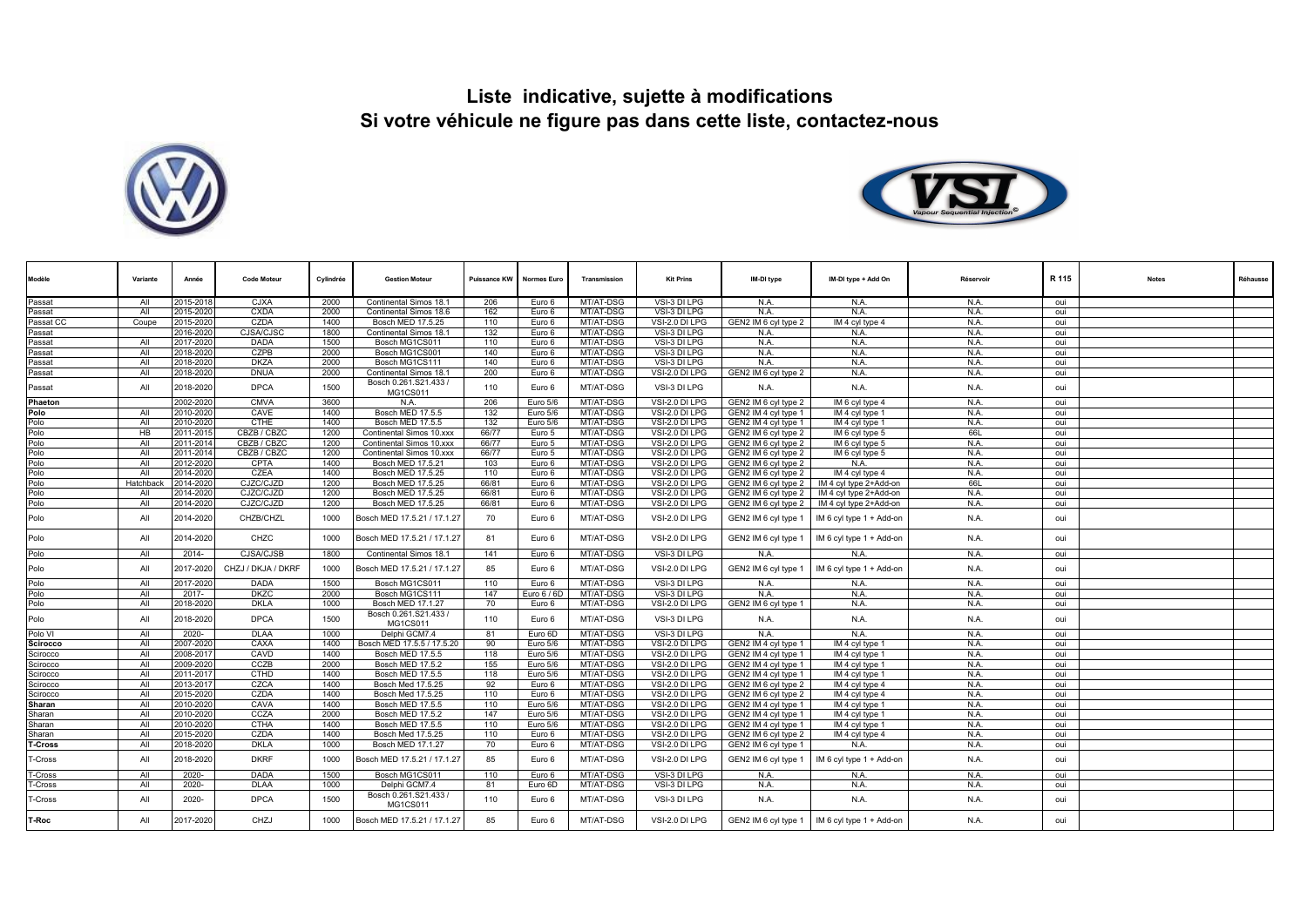



| Modèle          | Variante       | Année     | <b>Code Moteur</b> | Cylindrée | <b>Gestion Moteur</b>             | Puissance KW | <b>Normes Euro</b> | Transmission | <b>Kit Prins</b> | IM-DI type           | IM-DI type + Add On      | Réservoir | R 115 | <b>Notes</b> | Réhausse |
|-----------------|----------------|-----------|--------------------|-----------|-----------------------------------|--------------|--------------------|--------------|------------------|----------------------|--------------------------|-----------|-------|--------------|----------|
| Passat          | All            | 2015-2018 | <b>CJXA</b>        | 2000      | Continental Simos 18.1            | 206          | Euro 6             | MT/AT-DSG    | VSI-3 DI LPG     | N.A.                 | N.A.                     | N.A.      | oui   |              |          |
| Passat          | All            | 2015-2020 | <b>CXDA</b>        | 2000      | Continental Simos 18.6            | 162          | Euro 6             | MT/AT-DSG    | VSI-3 DI LPG     | N.A.                 | N.A.                     | N.A.      | oui   |              |          |
| Passat CC       | Coupe          | 2015-2020 | CZDA               | 1400      | Bosch MED 17.5.25                 | 110          | Euro 6             | MT/AT-DSG    | VSI-2.0 DI LPG   | GEN2 IM 6 cyl type 2 | IM 4 cyl type 4          | N.A.      | oui   |              |          |
| Passat          |                | 2016-202  | <b>CJSA/CJSC</b>   | 1800      | Continental Simos 18.1            | 132          | Euro 6             | MT/AT-DSG    | VSI-3 DI LPG     | N.A.                 | N.A.                     | N.A.      | oui   |              |          |
| Passat          | All            | 2017-202  | <b>DADA</b>        | 1500      | Bosch MG1CS011                    | 110          | Euro 6             | MT/AT-DSG    | VSI-3 DI LPG     | N.A.                 | N.A.                     | N.A.      | oui   |              |          |
| Passat          | All            | 2018-2020 | <b>CZPB</b>        | 2000      | Bosch MG1CS001                    | 140          | Euro 6             | MT/AT-DSG    | VSI-3 DI LPG     | N.A.                 | N.A.                     | N.A.      | oui   |              |          |
| Passat          | All            | 2018-2020 | <b>DKZA</b>        | 2000      | Bosch MG1CS111                    | 140          | Euro 6             | MT/AT-DSG    | VSI-3 DI LPG     | N.A.                 | N.A.                     | N.A.      | oui   |              |          |
| Passat          | All            | 2018-2020 | <b>DNUA</b>        | 2000      | <b>Continental Simos 18.1</b>     | 200          | Euro 6             | MT/AT-DSG    | VSI-2.0 DI LPG   | GEN2 IM 6 cyl type 2 | N.A.                     | N.A.      | oui   |              |          |
| Passat          | All            | 2018-2020 | <b>DPCA</b>        | 1500      | Bosch 0.261.S21.433 /<br>MG1CS011 | 110          | Euro 6             | MT/AT-DSG    | VSI-3 DI LPG     | N.A.                 | N.A.                     | N.A.      | oui   |              |          |
| Phaeton         |                | 2002-2020 | <b>CMVA</b>        | 3600      | N.A                               | 206          | Euro 5/6           | MT/AT-DSG    | VSI-2.0 DI LPG   | GEN2 IM 6 cvl type 2 | IM 6 cvl type 4          | N.A.      | oui   |              |          |
| Polo            | All            | 2010-2020 | CAVE               | 1400      | Bosch MED 17.5.5                  | 132          | Euro 5/6           | MT/AT-DSG    | VSI-2.0 DI LPG   | GEN2 IM 4 cyl type 1 | IM 4 cyl type 1          | N.A.      | oui   |              |          |
| Polo            | All            | 2010-202  | <b>CTHE</b>        | 1400      | Bosch MED 17.5.5                  | 132          | Euro 5/6           | MT/AT-DSG    | VSI-2.0 DI LPG   | GEN2 IM 4 cyl type 1 | IM 4 cyl type 1          | N.A.      | oui   |              |          |
| Polo            | H <sub>B</sub> | 2011-201  | CBZB / CBZC        | 1200      | Continental Simos 10.xxx          | 66/77        | Euro 5             | MT/AT-DSG    | VSI-2.0 DI LPG   | GEN2 IM 6 cyl type 2 | IM 6 cyl type 5          | 66L       | oui   |              |          |
| Polo            | All            | 2011-201  | CBZB / CBZC        | 1200      | Continental Simos 10.xxx          | 66/77        | Euro 5             | MT/AT-DSG    | VSI-2.0 DI LPG   | GEN2 IM 6 cyl type 2 | IM 6 cyl type 5          | N.A.      | oui   |              |          |
| Polo            | All            | 2011-2014 | CBZB / CBZC        | 1200      | Continental Simos 10.xxx          | 66/77        | Euro 5             | MT/AT-DSG    | VSI-2.0 DI LPG   | GEN2 IM 6 cyl type 2 | IM 6 cyl type 5          | N.A.      | oui   |              |          |
| Polo            | All            | 2012-2020 | <b>CPTA</b>        | 1400      | Bosch MED 17.5.21                 | 103          | Euro 6             | MT/AT-DSG    | VSI-2.0 DI LPG   | GEN2 IM 6 cyl type 2 | N.A.                     | N.A.      | oui   |              |          |
| Polo            | All            | 2014-202  | CZEA               | 1400      | Bosch MED 17.5.25                 | 110          | Euro 6             | MT/AT-DSG    | VSI-2.0 DI LPG   | GEN2 IM 6 cyl type 2 | IM 4 cyl type 4          | N.A.      | oui   |              |          |
| Polo            | Hatchbac       | 2014-2020 | CJZC/CJZD          | 1200      | Bosch MED 17.5.25                 | 66/81        | Euro 6             | MT/AT-DSG    | VSI-2.0 DI LPG   | GEN2 IM 6 cyl type 2 | IM 4 cyl type 2+Add-on   | 66L       | oui   |              |          |
| Polo            | All            | 2014-2020 | CJZC/CJZD          | 1200      | Bosch MED 17.5.25                 | 66/81        | Euro 6             | MT/AT-DSG    | VSI-2.0 DI LPG   | GEN2 IM 6 cyl type 2 | IM 4 cyl type 2+Add-on   | N.A.      | oui   |              |          |
| Polo            | All            | 2014-2020 | CJZC/CJZD          | 1200      | Bosch MED 17.5.25                 | 66/81        | Euro 6             | MT/AT-DSG    | VSI-2.0 DI LPG   | GEN2 IM 6 cyl type 2 | IM 4 cyl type 2+Add-on   | N.A.      | oui   |              |          |
| Polo            | All            | 2014-2020 | CHZB/CHZL          | 1000      | Bosch MED 17.5.21 / 17.1.27       | 70           | Euro 6             | MT/AT-DSG    | VSI-2.0 DI LPG   | GEN2 IM 6 cyl type 1 | IM 6 cyl type 1 + Add-on | N.A.      | oui   |              |          |
| Polo            | All            | 2014-2020 | CHZC               | 1000      | Bosch MED 17.5.21 / 17.1.27       | 81           | Euro 6             | MT/AT-DSG    | VSI-2.0 DI LPG   | GEN2 IM 6 cyl type 1 | IM 6 cyl type 1 + Add-on | N.A.      | oui   |              |          |
| Polo            | All            | $2014 -$  | CJSA/CJSB          | 1800      | Continental Simos 18.1            | 141          | Euro 6             | MT/AT-DSG    | VSI-3 DI LPG     | N.A.                 | N.A.                     | N.A.      | oui   |              |          |
| Polo            | All            | 2017-2020 | CHZJ / DKJA / DKRF | 1000      | Bosch MED 17.5.21 / 17.1.27       | 85           | Euro 6             | MT/AT-DSG    | VSI-2.0 DI LPG   | GEN2 IM 6 cyl type 1 | IM 6 cyl type 1 + Add-on | N.A.      | oui   |              |          |
| Polo            | All            | 2017-2020 | <b>DADA</b>        | 1500      | Bosch MG1CS011                    | 110          | Euro 6             | MT/AT-DSG    | VSI-3 DI LPG     | N.A.                 | N.A.                     | N.A.      | oui   |              |          |
| Polo            | All            | 2017-     | <b>DKZC</b>        | 2000      | Bosch MG1CS111                    | 147          | Euro 6 / 6D        | MT/AT-DSG    | VSI-3 DI LPG     | N.A.                 | N.A.                     | N.A.      | oui   |              |          |
| Polo            | All            | 2018-2020 | <b>DKLA</b>        | 1000      | Bosch MED 17.1.27                 | 70           | Euro 6             | MT/AT-DSG    | VSI-2.0 DI LPG   | GEN2 IM 6 cyl type 1 | N.A.                     | N.A.      | oui   |              |          |
| Polo            | All            | 2018-2020 | <b>DPCA</b>        | 1500      | Bosch 0.261.S21.433 /<br>MG1CS011 | 110          | Euro 6             | MT/AT-DSG    | VSI-3 DI LPG     | N.A.                 | N.A.                     | N.A.      | oui   |              |          |
| Polo VI         | All            | 2020-     | <b>DLAA</b>        | 1000      | Delphi GCM7.4                     | 81           | Euro 6D            | MT/AT-DSG    | VSI-3 DI LPG     | N.A.                 | N.A.                     | N.A.      | oui   |              |          |
| <b>Scirocco</b> | All            | 2007-2020 | CAXA               | 1400      | Bosch MED 17.5.5 / 17.5.20        | 90           | Euro 5/6           | MT/AT-DSG    | VSI-2.0 DI LPG   | GEN2 IM 4 cyl type 1 | IM 4 cyl type 1          | N.A.      | oui   |              |          |
| Scirocco        | All            | 2008-201  | CAVD               | 1400      | Bosch MED 17.5.5                  | 118          | Euro 5/6           | MT/AT-DSG    | VSI-2.0 DI LPG   | GEN2 IM 4 cvl type 1 | IM 4 cyl type 1          | N.A.      | oui   |              |          |
| Scirocco        | All            | 2009-2020 | CCZB               | 2000      | Bosch MED 17.5.2                  | 155          | Euro 5/6           | MT/AT-DSG    | VSI-2.0 DI LPG   | GEN2 IM 4 cyl type 1 | IM 4 cyl type 1          | N.A.      | oui   |              |          |
| Scirocco        | All            | 2011-201  | <b>CTHD</b>        | 1400      | Bosch MED 17.5.5                  | 118          | Euro 5/6           | MT/AT-DSG    | VSI-2.0 DI LPG   | GEN2 IM 4 cyl type 1 | IM 4 cyl type 1          | N.A.      | oui   |              |          |
| Scirocco        | All            | 2013-2017 | CZCA               | 1400      | Bosch Med 17.5.25                 | 92           | Euro 6             | MT/AT-DSG    | VSI-2.0 DI LPG   | GEN2 IM 6 cvl type 2 | IM 4 cvl type 4          | N.A.      | oui   |              |          |
| Scirocco        | All            | 2015-2020 | CZDA               | 1400      | Bosch Med 17.5.25                 | 110          | Euro 6             | MT/AT-DSG    | VSI-2.0 DI LPG   | GEN2 IM 6 cyl type 2 | IM 4 cyl type 4          | N.A.      | oui   |              |          |
| Sharan          | All            | 2010-2020 | CAVA               | 1400      | Bosch MED 17.5.5                  | 110          | Euro 5/6           | MT/AT-DSG    | VSI-2.0 DI LPG   | GEN2 IM 4 cyl type 1 | IM 4 cyl type 1          | N.A.      | oui   |              |          |
| Sharan          | All            | 2010-2020 | CCZA               | 2000      | Bosch MED 17.5.2                  | 147          | Euro 5/6           | MT/AT-DSG    | VSI-2.0 DI LPG   | GEN2 IM 4 cyl type 1 | IM 4 cyl type 1          | N.A.      | oui   |              |          |
| Sharan          | All            | 2010-2020 | <b>CTHA</b>        | 1400      | Bosch MED 17.5.5                  | 110          | Euro 5/6           | MT/AT-DSG    | VSI-2.0 DI LPG   | GEN2 IM 4 cyl type 1 | IM 4 cyl type 1          | N.A.      | oui   |              |          |
| Sharan          | All            | 2015-202  | CZDA               | 1400      | Bosch Med 17.5.25                 | 110          | Euro 6             | MT/AT-DSG    | VSI-2.0 DI LPG   | GEN2 IM 6 cyl type 2 | IM 4 cyl type 4          | N.A.      | oui   |              |          |
| T-Cross         | All            | 2018-2020 | <b>DKLA</b>        | 1000      | Bosch MED 17.1.27                 | 70           | Euro 6             | MT/AT-DSG    | VSI-2.0 DI LPG   | GEN2 IM 6 cyl type 1 | N.A.                     | N.A.      | oui   |              |          |
| -Cross          | All            | 2018-2020 | <b>DKRF</b>        | 1000      | Bosch MED 17.5.21 / 17.1.27       | 85           | Euro 6             | MT/AT-DSG    | VSI-2.0 DI LPG   | GEN2 IM 6 cyl type 1 | IM 6 cyl type 1 + Add-on | N.A.      | oui   |              |          |
| T-Cross         | All            | 2020-     | <b>DADA</b>        | 1500      | Bosch MG1CS011                    | 110          | Euro 6             | MT/AT-DSG    | VSI-3 DI LPG     | N.A.                 | N.A.                     | N.A.      | oui   |              |          |
| ⊺-Cross         | All            | 2020-     | <b>DLAA</b>        | 1000      | Delphi GCM7.4                     | 81           | Euro 6D            | MT/AT-DSG    | VSI-3 DI LPG     | N.A.                 | N.A.                     | N.A.      | oui   |              |          |
| T-Cross         | All            | 2020-     | <b>DPCA</b>        | 1500      | Bosch 0.261.S21.433 /<br>MG1CS011 | 110          | Euro 6             | MT/AT-DSG    | VSI-3 DI LPG     | N.A.                 | N.A.                     | N.A.      | oui   |              |          |
| T-Roc           | All            | 2017-2020 | CHZJ               | 1000      | Bosch MED 17.5.21 / 17.1.27       | 85           | Euro 6             | MT/AT-DSG    | VSI-2.0 DI LPG   | GEN2 IM 6 cyl type 1 | IM 6 cyl type 1 + Add-on | N.A.      | oui   |              |          |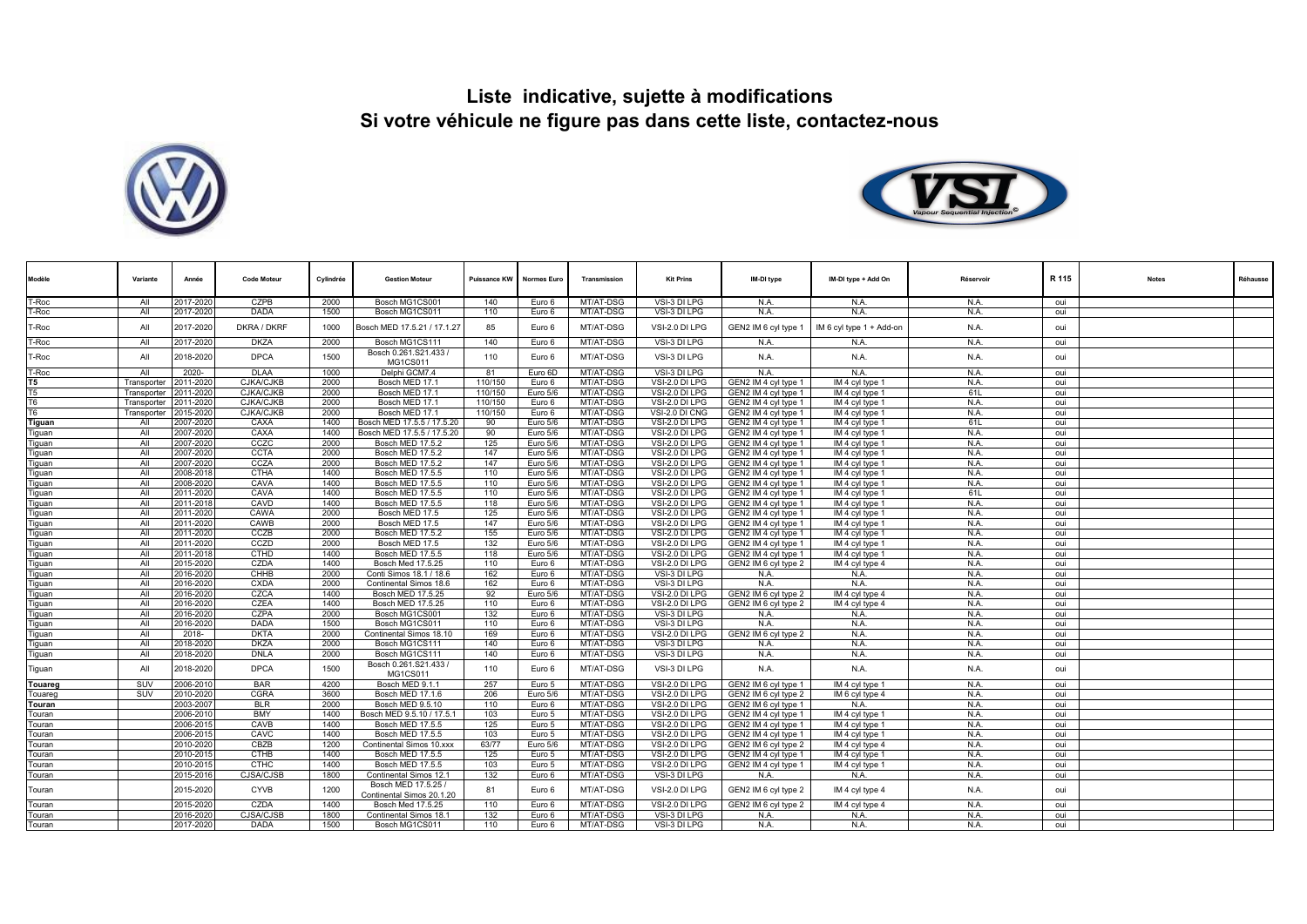



| Modèle         | Variante    | Année     | <b>Code Moteur</b> | Cylindrée | <b>Gestion Moteur</b>                            | Puissance KW | <b>Normes Euro</b> | Transmission | <b>Kit Prins</b> | IM-DI type           | IM-DI type + Add On      | Réservoir | R 115 | <b>Notes</b> | Réhausse |
|----------------|-------------|-----------|--------------------|-----------|--------------------------------------------------|--------------|--------------------|--------------|------------------|----------------------|--------------------------|-----------|-------|--------------|----------|
| T-Roc          | All         | 2017-2020 | CZPB               | 2000      | Bosch MG1CS001                                   | 140          | Euro 6             | MT/AT-DSG    | VSI-3 DI LPG     | N.A.                 | N.A.                     | N.A.      | oui   |              |          |
| -Roc           | All         | 2017-2020 | <b>DADA</b>        | 1500      | Bosch MG1CS011                                   | 110          | Euro 6             | MT/AT-DSG    | VSI-3 DI LPG     | N.A.                 | N.A.                     | N.A.      | oui   |              |          |
| Г-Roc          | All         | 2017-2020 | DKRA / DKRF        | 1000      | Bosch MED 17.5.21 / 17.1.27                      | 85           | Euro 6             | MT/AT-DSG    | VSI-2.0 DI LPG   | GEN2 IM 6 cyl type 1 | IM 6 cyl type 1 + Add-on | N.A.      | oui   |              |          |
| <b>F-Roc</b>   | All         | 2017-2020 | <b>DKZA</b>        | 2000      | Bosch MG1CS111                                   | 140          | Euro 6             | MT/AT-DSG    | VSI-3 DI LPG     | N.A                  | N.A.                     | N.A.      | oui   |              |          |
| -Roc           | All         | 2018-2020 | <b>DPCA</b>        | 1500      | Bosch 0.261.S21.433 /<br>MG1CS011                | 110          | Euro 6             | MT/AT-DSG    | VSI-3 DI LPG     | N.A.                 | N.A.                     | N.A.      | oui   |              |          |
| Г-Roc          | All         | 2020-     | <b>DLAA</b>        | 1000      | Delphi GCM7.4                                    | 81           | Euro 6D            | MT/AT-DSG    | VSI-3 DI LPG     | N.A                  | N.A.                     | N.A       | oui   |              |          |
| T5             | Transporter | 2011-2020 | CJKA/CJKB          | 2000      | Bosch MED 17.1                                   | 110/150      | Euro 6             | MT/AT-DSG    | VSI-2.0 DI LPG   | GEN2 IM 4 cyl type 1 | IM 4 cyl type 1          | N.A.      | oui   |              |          |
| T5             | Transporter | 2011-2020 | <b>CJKA/CJKB</b>   | 2000      | Bosch MED 17.1                                   | 110/150      | Euro 5/6           | MT/AT-DSG    | VSI-2.0 DI LPG   | GEN2 IM 4 cyl type 1 | IM 4 cyl type 1          | 61L       | oui   |              |          |
| T <sub>6</sub> | Transporter | 2011-2020 | <b>CJKA/CJKB</b>   | 2000      | Bosch MED 17.1                                   | 110/150      | Euro 6             | MT/AT-DSG    | VSI-2.0 DI LPG   | GEN2 IM 4 cvl type 1 | IM 4 cvl type 1          | N.A       | oui   |              |          |
| T <sub>6</sub> | Transporter | 2015-2020 | CJKA/CJKB          | 2000      | Bosch MED 17.1                                   | 110/150      | Euro 6             | MT/AT-DSG    | VSI-2.0 DI CNG   | GEN2 IM 4 cyl type 1 | IM 4 cyl type 1          | N.A.      | oui   |              |          |
| Tiguan         | All         | 2007-2020 | CAXA               | 1400      | Bosch MED 17.5.5 / 17.5.20                       | 90           | Euro 5/6           | MT/AT-DSG    | VSI-2.0 DI LPG   | GEN2 IM 4 cyl type 1 | IM 4 cyl type 1          | 61L       | oui   |              |          |
| Tiguan         | All         | 2007-2020 | CAXA               | 1400      | Bosch MED 17.5.5 / 17.5.20                       | 90           | Euro 5/6           | MT/AT-DSG    | VSI-2.0 DI LPG   | GEN2 IM 4 cyl type 1 | IM 4 cyl type 1          | N.A.      | oui   |              |          |
| Tiquan         | All         | 2007-2020 | CCZC               | 2000      | <b>Bosch MED 17.5.2</b>                          | 125          | Euro 5/6           | MT/AT-DSG    | VSI-2.0 DI LPG   | GEN2 IM 4 cyl type 1 | IM 4 cyl type 1          | N.A       | oui   |              |          |
| Tiguan         | All         | 2007-2020 | <b>CCTA</b>        | 2000      | Bosch MED 17.5.2                                 | 147          | Euro 5/6           | MT/AT-DSG    | VSI-2.0 DI LPG   | GEN2 IM 4 cvl type 1 | IM 4 cvl type 1          | N.A.      | oui   |              |          |
| <b>Tiquan</b>  | All         | 2007-2020 | CCZA               | 2000      | Bosch MED 17.5.2                                 | 147          | Euro 5/6           | MT/AT-DSG    | VSI-2.0 DI LPG   | GEN2 IM 4 cyl type 1 | IM 4 cyl type 1          | N.A.      | oui   |              |          |
| Tiguan         | All         | 2008-2018 | CTHA               | 1400      | Bosch MED 17.5.5                                 | 110          | Euro 5/6           | MT/AT-DSG    | VSI-2.0 DLLPG    | GEN2 IM 4 cvl type 1 | IM 4 cvl type 1          | N.A       | oui   |              |          |
| Tiguan         | All         | 2008-2020 | CAVA               | 1400      | Bosch MED 17.5.5                                 | 110          | Euro 5/6           | MT/AT-DSG    | VSI-2.0 DI LPG   | GEN2 IM 4 cyl type 1 | IM 4 cyl type 1          | N.A.      | oui   |              |          |
| Tiguan         | All         | 2011-2020 | CAVA               | 1400      | Bosch MED 17.5.5                                 | 110          | Euro 5/6           | MT/AT-DSG    | VSI-2.0 DI LPG   | GEN2 IM 4 cyl type 1 | IM 4 cyl type 1          | 61L       | oui   |              |          |
| Tiguan         | All         | 2011-2018 | CAVD               | 1400      | Bosch MED 17.5.5                                 | 118          | Euro 5/6           | MT/AT-DSG    | VSI-2.0 DI LPG   | GEN2 IM 4 cyl type 1 | IM 4 cyl type 1          | N.A       | oui   |              |          |
| Tiguan         | All         | 2011-2020 | CAWA               | 2000      | Bosch MED 17.5                                   | 125          | Euro 5/6           | MT/AT-DSG    | VSI-2.0 DI LPG   | GEN2 IM 4 cyl type 1 | IM 4 cyl type 1          | N.A.      | oui   |              |          |
| Tiguan         | All         | 2011-2020 | CAWB               | 2000      | Bosch MED 17.5                                   | 147          | Euro 5/6           | MT/AT-DSG    | VSI-2.0 DI LPG   | GEN2 IM 4 cyl type 1 | IM 4 cyl type 1          | N.A.      | oui   |              |          |
| Tiguan         | All         | 2011-2020 | CCZB               | 2000      | Bosch MED 17.5.2                                 | 155          | Euro 5/6           | MT/AT-DSG    | VSI-2.0 DI LPG   | GEN2 IM 4 cyl type 1 | IM 4 cyl type 1          | N.A.      | oui   |              |          |
| Tiguan         | All         | 2011-2020 | CCZD               | 2000      | Bosch MED 17.5                                   | 132          | Euro 5/6           | MT/AT-DSG    | VSI-2.0 DI LPG   | GEN2 IM 4 cvl tvpe 1 | IM 4 cvl type 1          | N.A       | oui   |              |          |
| Tiguan         | All         | 2011-2018 | <b>CTHD</b>        | 1400      | Bosch MED 17.5.5                                 | 118          | Euro 5/6           | MT/AT-DSG    | VSI-2.0 DI LPG   | GEN2 IM 4 cyl type 1 | IM 4 cyl type 1          | N.A.      | oui   |              |          |
| Tiguan         | All         | 2015-2020 | CZDA               | 1400      | <b>Bosch Med 17.5.25</b>                         | 110          | Euro 6             | MT/AT-DSG    | VSI-2.0 DI LPG   | GEN2 IM 6 cyl type 2 | IM 4 cyl type 4          | N.A.      | oui   |              |          |
| Tiguan         | All         | 2016-2020 | CHHB               | 2000      | Conti Simos 18.1 / 18.6                          | 162          | Euro 6             | MT/AT-DSG    | VSI-3 DI LPG     | N.A.                 | N.A.                     | N.A       | oui   |              |          |
| Tiguan         | All         | 2016-2020 | <b>CXDA</b>        | 2000      | Continental Simos 18.6                           | 162          | Euro 6             | MT/AT-DSG    | VSI-3 DI LPG     | N.A                  | N.A.                     | N.A.      | oui   |              |          |
| Tiguan         | All         | 2016-2020 | CZCA               | 1400      | Bosch MED 17.5.25                                | 92           | Euro 5/6           | MT/AT-DSG    | VSI-2.0 DI LPG   | GEN2 IM 6 cyl type 2 | IM 4 cyl type 4          | N.A       | oui   |              |          |
| Tiguan         | All         | 2016-2020 | CZEA               | 1400      | Bosch MED 17.5.25                                | 110          | Euro 6             | MT/AT-DSG    | VSI-2.0 DI LPG   | GEN2 IM 6 cvl type 2 | IM 4 cvl type 4          | N.A.      | oui   |              |          |
| Tiguan         | All         | 2016-2020 | CZPA               | 2000      | Bosch MG1CS001                                   | 132          | Euro 6             | MT/AT-DSG    | VSI-3 DI LPG     | N.A                  | N.A.                     | N.A.      | oui   |              |          |
| Tiguan         | All         | 2016-2020 | DADA               | 1500      | Bosch MG1CS011                                   | 110          | Euro 6             | MT/AT-DSG    | VSI-3 DI LPG     | N.A.                 | N.A.                     | N.A.      | oui   |              |          |
| Tiguan         | All         | 2018-     | <b>DKTA</b>        | 2000      | Continental Simos 18.10                          | 169          | Euro 6             | MT/AT-DSG    | VSI-2.0 DI LPG   | GEN2 IM 6 cyl type 2 | N.A.                     | N.A.      | oui   |              |          |
| Tiguan         | All         | 2018-2020 | <b>DKZA</b>        | 2000      | Bosch MG1CS111                                   | 140          | Euro 6             | MT/AT-DSG    | VSI-3 DI LPG     | N.A                  | N.A.                     | N.A       | oui   |              |          |
| Tiguan         | All         | 2018-2020 | <b>DNLA</b>        | 2000      | Bosch MG1CS111                                   | 140          | Euro 6             | MT/AT-DSG    | VSI-3 DI LPG     | N.A.                 | N.A.                     | N.A.      | oui   |              |          |
| Tiguan         | All         | 2018-2020 | <b>DPCA</b>        | 1500      | Bosch 0.261.S21.433 /<br><b>MG1CS011</b>         | 110          | Euro 6             | MT/AT-DSG    | VSI-3 DI LPG     | N.A.                 | N.A.                     | N.A.      | oui   |              |          |
| Touareg        | SUV         | 2006-2010 | <b>BAR</b>         | 4200      | Bosch MED 9.1.1                                  | 257          | Euro 5             | MT/AT-DSG    | VSI-2.0 DI LPG   | GEN2 IM 6 cyl type 1 | IM 4 cyl type 1          | N.A.      | oui   |              |          |
| Touared        | SUV         | 2010-2020 | CGRA               | 3600      | Bosch MED 17.1.6                                 | 206          | Euro 5/6           | MT/AT-DSG    | VSI-2.0 DI LPG   | GEN2 IM 6 cvl type 2 | IM 6 cvl type 4          | N.A.      | oui   |              |          |
| Touran         |             | 2003-2007 | <b>BLR</b>         | 2000      | Bosch MED 9.5.10                                 | 110          | Euro 6             | MT/AT-DSG    | VSI-2.0 DI LPG   | GEN2 IM 6 cvl type 1 | N.A.                     | N.A.      | oui   |              |          |
| Touran         |             | 2006-2010 | <b>BMY</b>         | 1400      | Bosch MED 9.5.10 / 17.5.1                        | 103          | Euro 5             | MT/AT-DSG    | VSI-2.0 DI LPG   | GEN2 IM 4 cyl type 1 | IM 4 cvl type 1          | N.A.      | oui   |              |          |
| Touran         |             | 2006-201  | CAVB               | 1400      | Bosch MED 17.5.5                                 | 125          | Euro 5             | MT/AT-DSG    | VSI-2.0 DI LPG   | GEN2 IM 4 cyl type 1 | IM 4 cyl type 1          | N.A.      | oui   |              |          |
| Touran         |             | 2006-201  | CAVC               | 1400      | Bosch MED 17.5.5                                 | 103          | Euro 5             | MT/AT-DSG    | VSI-2.0 DI LPG   | GEN2 IM 4 cyl type 1 | IM 4 cyl type 1          | N.A       | oui   |              |          |
| Touran         |             | 2010-2020 | CBZB               | 1200      | Continental Simos 10.xxx                         | 63/77        | Euro 5/6           | MT/AT-DSG    | VSI-2.0 DI LPG   | GEN2 IM 6 cyl type 2 | IM 4 cyl type 4          | N.A       | oui   |              |          |
| Touran         |             | 2010-2015 | <b>CTHB</b>        | 1400      | Bosch MED 17.5.5                                 | 125          | Euro 5             | MT/AT-DSG    | VSI-2.0 DLLPG    | GEN2 IM 4 cyl type 1 | IM 4 cvl type 1          | N.A.      | oui   |              |          |
| Touran         |             | 2010-201  | <b>CTHC</b>        | 1400      | Bosch MED 17.5.5                                 | 103          | Euro 5             | MT/AT-DSG    | VSI-2.0 DI LPG   | GEN2 IM 4 cyl type 1 | IM 4 cyl type 1          | N.A       | oui   |              |          |
| Touran         |             | 2015-201  | CJSA/CJSB          | 1800      | Continental Simos 12.1                           | 132          | Euro 6             | MT/AT-DSG    | VSI-3 DI LPG     | N.A.                 | N.A.                     | N.A.      | oui   |              |          |
| Touran         |             | 2015-2020 | <b>CYVB</b>        | 1200      | Bosch MED 17.5.25 /<br>Continental Simos 20.1.20 | 81           | Euro 6             | MT/AT-DSG    | VSI-2.0 DI LPG   | GEN2 IM 6 cyl type 2 | IM 4 cyl type 4          | N.A.      | oui   |              |          |
| Touran         |             | 2015-2020 | CZDA               | 1400      | Bosch Med 17,5,25                                | 110          | Euro 6             | MT/AT-DSG    | VSI-2.0 DI LPG   | GEN2 IM 6 cyl type 2 | IM 4 cyl type 4          | N.A       | oui   |              |          |
| Touran         |             | 2016-2020 | CJSA/CJSB          | 1800      | Continental Simos 18.1                           | 132          | Euro 6             | MT/AT-DSG    | VSI-3 DI LPG     | N.A.                 | N.A.                     | N.A.      | oui   |              |          |
| Touran         |             | 2017-2020 | <b>DADA</b>        | 1500      | Bosch MG1CS011                                   | 110          | Euro 6             | MT/AT-DSG    | VSI-3 DI LPG     | N.A                  | N.A.                     | N.A.      | oui   |              |          |
|                |             |           |                    |           |                                                  |              |                    |              |                  |                      |                          |           |       |              |          |